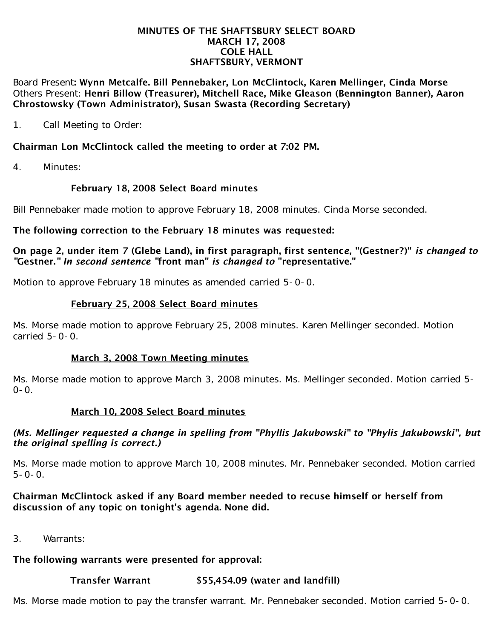#### MINUTES OF THE SHAFTSBURY SELECT BOARD MARCH 17, 2008 COLE HALL SHAFTSBURY, VERMONT

Board Present: Wynn Metcalfe. Bill Pennebaker, Lon McClintock, Karen Mellinger, Cinda Morse Others Present: Henri Billow (Treasurer), Mitchell Race, Mike Gleason (Bennington Banner), Aaron Chrostowsky (Town Administrator), Susan Swasta (Recording Secretary)

1. Call Meeting to Order:

## Chairman Lon McClintock called the meeting to order at 7:02 PM.

4. Minutes:

## February 18, 2008 Select Board minutes

Bill Pennebaker made motion to approve February 18, 2008 minutes. Cinda Morse seconded.

#### The following correction to the February 18 minutes was requested:

On page 2, under item 7 (Glebe Land), in first paragraph, first sentenc*e,* "(Gestner?)" *is changed to "*Gestner.*" In second sentence "*front man" *is changed to* "representative."

Motion to approve February 18 minutes as amended carried 5-0-0.

## February 25, 2008 Select Board minutes

Ms. Morse made motion to approve February 25, 2008 minutes. Karen Mellinger seconded. Motion carried 5-0-0.

## March 3, 2008 Town Meeting minutes

Ms. Morse made motion to approve March 3, 2008 minutes. Ms. Mellinger seconded. Motion carried 5-  $0 - 0$ .

## March 10, 2008 Select Board minutes

#### *(Ms. Mellinger requested a change in spelling from "Phyllis Jakubowski" to "Phylis Jakubowski", but the original spelling is correct.)*

Ms. Morse made motion to approve March 10, 2008 minutes. Mr. Pennebaker seconded. Motion carried  $5 - 0 - 0$ .

## Chairman McClintock asked if any Board member needed to recuse himself or herself from discussion of any topic on tonight's agenda. None did.

3. Warrants:

## The following warrants were presented for approval:

# Transfer Warrant \$55,454.09 (water and landfill)

Ms. Morse made motion to pay the transfer warrant. Mr. Pennebaker seconded. Motion carried 5-0-0.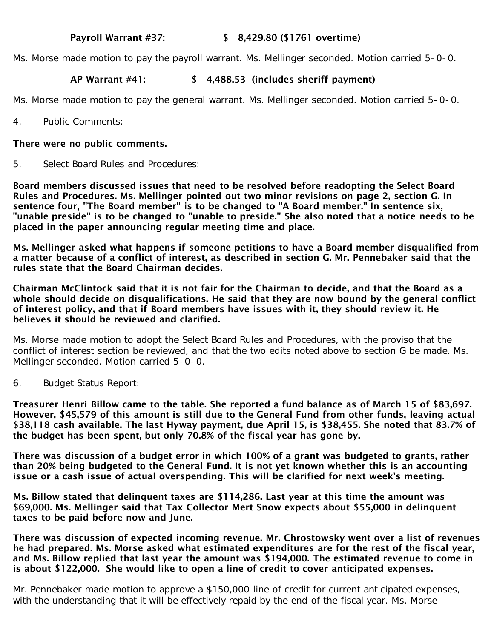## Payroll Warrant #37: \$ 8,429.80 (\$1761 overtime)

Ms. Morse made motion to pay the payroll warrant. Ms. Mellinger seconded. Motion carried 5-0-0.

## AP Warrant #41: \$ 4,488.53 (includes sheriff payment)

Ms. Morse made motion to pay the general warrant. Ms. Mellinger seconded. Motion carried 5-0-0.

4. Public Comments:

#### There were no public comments.

5. Select Board Rules and Procedures:

Board members discussed issues that need to be resolved before readopting the Select Board Rules and Procedures. Ms. Mellinger pointed out two minor revisions on page 2, section G. In sentence four, "The Board member" is to be changed to "A Board member." In sentence six, "unable preside" is to be changed to "unable to preside." She also noted that a notice needs to be placed in the paper announcing regular meeting time and place.

Ms. Mellinger asked what happens if someone petitions to have a Board member disqualified from a matter because of a conflict of interest, as described in section G. Mr. Pennebaker said that the rules state that the Board Chairman decides.

Chairman McClintock said that it is not fair for the Chairman to decide, and that the Board as a whole should decide on disqualifications. He said that they are now bound by the general conflict of interest policy, and that if Board members have issues with it, they should review it. He believes it should be reviewed and clarified.

Ms. Morse made motion to adopt the Select Board Rules and Procedures, with the proviso that the conflict of interest section be reviewed, and that the two edits noted above to section G be made. Ms. Mellinger seconded. Motion carried 5-0-0.

6. Budget Status Report:

Treasurer Henri Billow came to the table. She reported a fund balance as of March 15 of \$83,697. However, \$45,579 of this amount is still due to the General Fund from other funds, leaving actual \$38,118 cash available. The last Hyway payment, due April 15, is \$38,455. She noted that 83.7% of the budget has been spent, but only 70.8% of the fiscal year has gone by.

There was discussion of a budget error in which 100% of a grant was budgeted to grants, rather than 20% being budgeted to the General Fund. It is not yet known whether this is an accounting issue or a cash issue of actual overspending. This will be clarified for next week's meeting.

Ms. Billow stated that delinquent taxes are \$114,286. Last year at this time the amount was \$69,000. Ms. Mellinger said that Tax Collector Mert Snow expects about \$55,000 in delinquent taxes to be paid before now and June.

There was discussion of expected incoming revenue. Mr. Chrostowsky went over a list of revenues he had prepared. Ms. Morse asked what estimated expenditures are for the rest of the fiscal year, and Ms. Billow replied that last year the amount was \$194,000. The estimated revenue to come in is about \$122,000. She would like to open a line of credit to cover anticipated expenses.

Mr. Pennebaker made motion to approve a \$150,000 line of credit for current anticipated expenses, with the understanding that it will be effectively repaid by the end of the fiscal year. Ms. Morse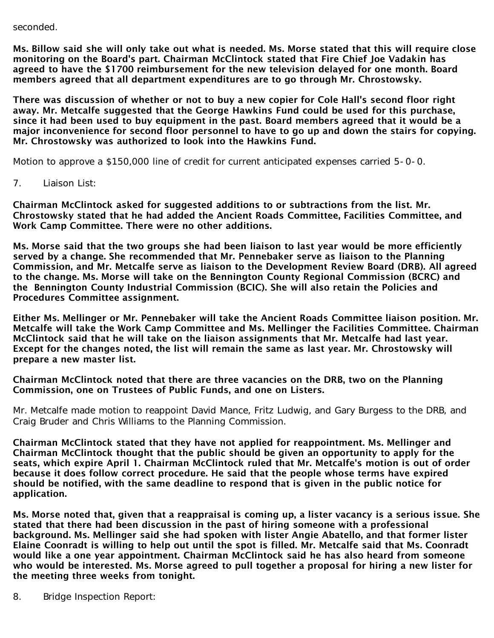seconded.

Ms. Billow said she will only take out what is needed. Ms. Morse stated that this will require close monitoring on the Board's part. Chairman McClintock stated that Fire Chief Joe Vadakin has agreed to have the \$1700 reimbursement for the new television delayed for one month. Board members agreed that all department expenditures are to go through Mr. Chrostowsky.

There was discussion of whether or not to buy a new copier for Cole Hall's second floor right away. Mr. Metcalfe suggested that the George Hawkins Fund could be used for this purchase, since it had been used to buy equipment in the past. Board members agreed that it would be a major inconvenience for second floor personnel to have to go up and down the stairs for copying. Mr. Chrostowsky was authorized to look into the Hawkins Fund.

Motion to approve a \$150,000 line of credit for current anticipated expenses carried 5-0-0.

7. Liaison List:

Chairman McClintock asked for suggested additions to or subtractions from the list. Mr. Chrostowsky stated that he had added the Ancient Roads Committee, Facilities Committee, and Work Camp Committee. There were no other additions.

Ms. Morse said that the two groups she had been liaison to last year would be more efficiently served by a change. She recommended that Mr. Pennebaker serve as liaison to the Planning Commission, and Mr. Metcalfe serve as liaison to the Development Review Board (DRB). All agreed to the change. Ms. Morse will take on the Bennington County Regional Commission (BCRC) and the Bennington County Industrial Commission (BCIC). She will also retain the Policies and Procedures Committee assignment.

Either Ms. Mellinger or Mr. Pennebaker will take the Ancient Roads Committee liaison position. Mr. Metcalfe will take the Work Camp Committee and Ms. Mellinger the Facilities Committee. Chairman McClintock said that he will take on the liaison assignments that Mr. Metcalfe had last year. Except for the changes noted, the list will remain the same as last year. Mr. Chrostowsky will prepare a new master list.

Chairman McClintock noted that there are three vacancies on the DRB, two on the Planning Commission, one on Trustees of Public Funds, and one on Listers.

Mr. Metcalfe made motion to reappoint David Mance, Fritz Ludwig, and Gary Burgess to the DRB, and Craig Bruder and Chris Williams to the Planning Commission.

Chairman McClintock stated that they have not applied for reappointment. Ms. Mellinger and Chairman McClintock thought that the public should be given an opportunity to apply for the seats, which expire April 1. Chairman McClintock ruled that Mr. Metcalfe's motion is out of order because it does follow correct procedure. He said that the people whose terms have expired should be notified, with the same deadline to respond that is given in the public notice for application.

Ms. Morse noted that, given that a reappraisal is coming up, a lister vacancy is a serious issue. She stated that there had been discussion in the past of hiring someone with a professional background. Ms. Mellinger said she had spoken with lister Angie Abatello, and that former lister Elaine Coonradt is willing to help out until the spot is filled. Mr. Metcalfe said that Ms. Coonradt would like a one year appointment. Chairman McClintock said he has also heard from someone who would be interested. Ms. Morse agreed to pull together a proposal for hiring a new lister for the meeting three weeks from tonight.

8. Bridge Inspection Report: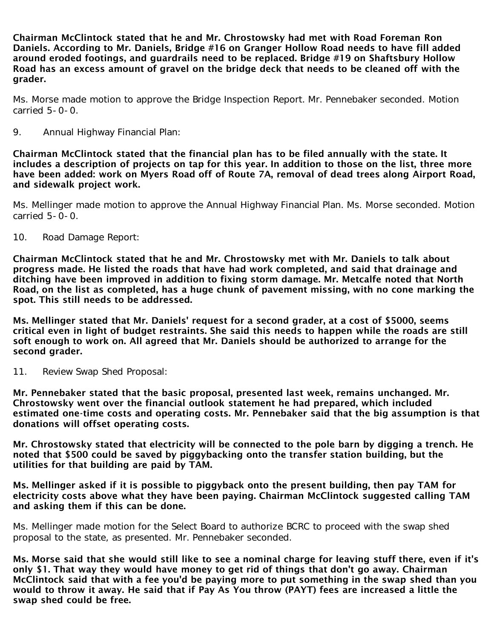Chairman McClintock stated that he and Mr. Chrostowsky had met with Road Foreman Ron Daniels. According to Mr. Daniels, Bridge #16 on Granger Hollow Road needs to have fill added around eroded footings, and guardrails need to be replaced. Bridge #19 on Shaftsbury Hollow Road has an excess amount of gravel on the bridge deck that needs to be cleaned off with the grader.

Ms. Morse made motion to approve the Bridge Inspection Report. Mr. Pennebaker seconded. Motion carried 5-0-0.

9. Annual Highway Financial Plan:

Chairman McClintock stated that the financial plan has to be filed annually with the state. It includes a description of projects on tap for this year. In addition to those on the list, three more have been added: work on Myers Road off of Route 7A, removal of dead trees along Airport Road, and sidewalk project work.

Ms. Mellinger made motion to approve the Annual Highway Financial Plan. Ms. Morse seconded. Motion carried 5-0-0.

10. Road Damage Report:

Chairman McClintock stated that he and Mr. Chrostowsky met with Mr. Daniels to talk about progress made. He listed the roads that have had work completed, and said that drainage and ditching have been improved in addition to fixing storm damage. Mr. Metcalfe noted that North Road, on the list as completed, has a huge chunk of pavement missing, with no cone marking the spot. This still needs to be addressed.

Ms. Mellinger stated that Mr. Daniels' request for a second grader, at a cost of \$5000, seems critical even in light of budget restraints. She said this needs to happen while the roads are still soft enough to work on. All agreed that Mr. Daniels should be authorized to arrange for the second grader.

11. Review Swap Shed Proposal:

Mr. Pennebaker stated that the basic proposal, presented last week, remains unchanged. Mr. Chrostowsky went over the financial outlook statement he had prepared, which included estimated one-time costs and operating costs. Mr. Pennebaker said that the big assumption is that donations will offset operating costs.

Mr. Chrostowsky stated that electricity will be connected to the pole barn by digging a trench. He noted that \$500 could be saved by piggybacking onto the transfer station building, but the utilities for that building are paid by TAM.

Ms. Mellinger asked if it is possible to piggyback onto the present building, then pay TAM for electricity costs above what they have been paying. Chairman McClintock suggested calling TAM and asking them if this can be done.

Ms. Mellinger made motion for the Select Board to authorize BCRC to proceed with the swap shed proposal to the state, as presented. Mr. Pennebaker seconded.

Ms. Morse said that she would still like to see a nominal charge for leaving stuff there, even if it's only \$1. That way they would have money to get rid of things that don't go away. Chairman McClintock said that with a fee you'd be paying more to put something in the swap shed than you would to throw it away. He said that if Pay As You throw (PAYT) fees are increased a little the swap shed could be free.